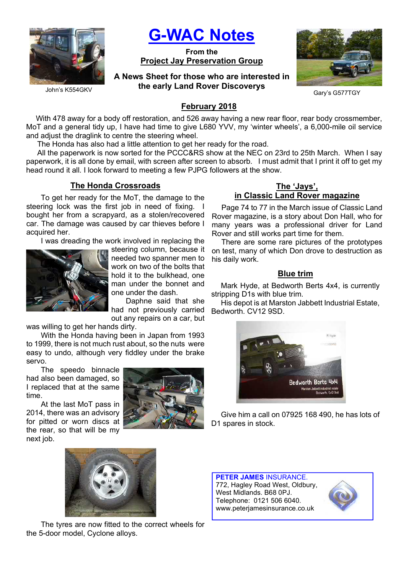

G-WAC Notes

From the Project Jay Preservation Group

A News Sheet for those who are interested in the early Land Rover Discoverys



Gary's G577TGY

# February 2018

With 478 away for a body off restoration, and 526 away having a new rear floor, rear body crossmember, MoT and a general tidy up, I have had time to give L680 YVV, my 'winter wheels', a 6,000-mile oil service and adjust the draglink to centre the steering wheel.

The Honda has also had a little attention to get her ready for the road.

All the paperwork is now sorted for the PCCC&RS show at the NEC on 23rd to 25th March. When I say paperwork, it is all done by email, with screen after screen to absorb. I must admit that I print it off to get my head round it all. I look forward to meeting a few PJPG followers at the show.

## The Honda Crossroads

To get her ready for the MoT, the damage to the steering lock was the first job in need of fixing. I bought her from a scrapyard, as a stolen/recovered car. The damage was caused by car thieves before I acquired her.

I was dreading the work involved in replacing the



steering column, because it needed two spanner men to work on two of the bolts that hold it to the bulkhead, one man under the bonnet and one under the dash.

Daphne said that she had not previously carried out any repairs on a car, but

was willing to get her hands dirty.

With the Honda having been in Japan from 1993 to 1999, there is not much rust about, so the nuts were easy to undo, although very fiddley under the brake servo.

The speedo binnacle had also been damaged, so I replaced that at the same time.

At the last MoT pass in 2014, there was an advisory for pitted or worn discs at the rear, so that will be my next job.



## The 'Jays', in Classic Land Rover magazine

Page 74 to 77 in the March issue of Classic Land Rover magazine, is a story about Don Hall, who for many years was a professional driver for Land Rover and still works part time for them.

There are some rare pictures of the prototypes on test, many of which Don drove to destruction as his daily work.

### **Blue trim**

Mark Hyde, at Bedworth Berts 4x4, is currently stripping D1s with blue trim.

His depot is at Marston Jabbett Industrial Estate, Bedworth. CV12 9SD.



Give him a call on 07925 168 490, he has lots of D1 spares in stock.



The tyres are now fitted to the correct wheels for the 5-door model, Cyclone alloys.

PETER JAMES INSURANCE. 772, Hagley Road West, Oldbury, West Midlands. B68 0PJ. Telephone: 0121 506 6040. www.peterjamesinsurance.co.uk

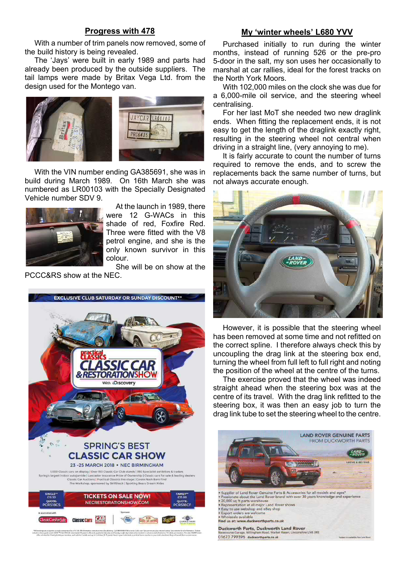### Progress with 478

### With a number of trim panels now removed, some of the build history is being revealed.

The 'Jays' were built in early 1989 and parts had already been produced by the outside suppliers. The tail lamps were made by Britax Vega Ltd. from the design used for the Montego van.



With the VIN number ending GA385691, she was in build during March 1989. On 16th March she was numbered as LR00103 with the Specially Designated Vehicle number SDV 9.



At the launch in 1989, there were 12 G-WACs in this shade of red, Foxfire Red. Three were fitted with the V8 petrol engine, and she is the only known survivor in this colour.

She will be on show at the PCCC&RS show at the NEC.



#### My 'winter wheels' L680 YVV

Purchased initially to run during the winter months, instead of running 526 or the pre-pro 5-door in the salt, my son uses her occasionally to marshal at car rallies, ideal for the forest tracks on the North York Moors.

With 102,000 miles on the clock she was due for a 6,000-mile oil service, and the steering wheel centralising.

For her last MoT she needed two new draglink ends. When fitting the replacement ends, it is not easy to get the length of the draglink exactly right, resulting in the steering wheel not central when driving in a straight line, (very annoying to me).

It is fairly accurate to count the number of turns required to remove the ends, and to screw the replacements back the same number of turns, but not always accurate enough.



However, it is possible that the steering wheel has been removed at some time and not refitted on the correct spline. I therefore always check this by uncoupling the drag link at the steering box end, turning the wheel from full left to full right and noting the position of the wheel at the centre of the turns.

The exercise proved that the wheel was indeed straight ahead when the steering box was at the centre of its travel. With the drag link refitted to the steering box, it was then an easy job to turn the drag link tube to set the steering wheel to the centre.

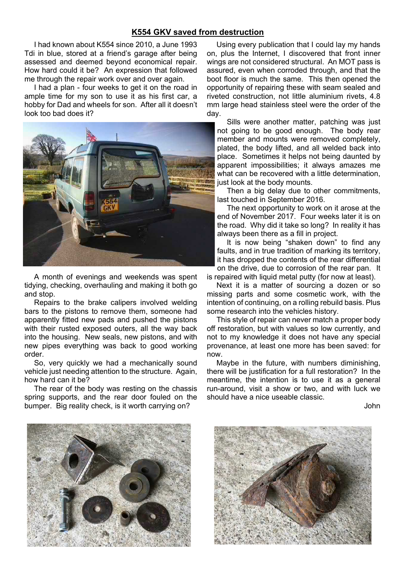### K554 GKV saved from destruction

I had known about K554 since 2010, a June 1993 Tdi in blue, stored at a friend's garage after being assessed and deemed beyond economical repair. How hard could it be? An expression that followed me through the repair work over and over again.

I had a plan - four weeks to get it on the road in ample time for my son to use it as his first car, a hobby for Dad and wheels for son. After all it doesn't look too bad does it?



A month of evenings and weekends was spent tidying, checking, overhauling and making it both go and stop.

Repairs to the brake calipers involved welding bars to the pistons to remove them, someone had apparently fitted new pads and pushed the pistons with their rusted exposed outers, all the way back into the housing. New seals, new pistons, and with new pipes everything was back to good working order.

So, very quickly we had a mechanically sound vehicle just needing attention to the structure. Again, how hard can it be?

The rear of the body was resting on the chassis spring supports, and the rear door fouled on the bumper. Big reality check, is it worth carrying on?

Using every publication that I could lay my hands on, plus the Internet, I discovered that front inner wings are not considered structural. An MOT pass is assured, even when corroded through, and that the boot floor is much the same. This then opened the opportunity of repairing these with seam sealed and riveted construction, not little aluminium rivets, 4.8 mm large head stainless steel were the order of the day.

Sills were another matter, patching was just not going to be good enough. The body rear member and mounts were removed completely, plated, the body lifted, and all welded back into place. Sometimes it helps not being daunted by apparent impossibilities; it always amazes me what can be recovered with a little determination, just look at the body mounts.

Then a big delay due to other commitments, last touched in September 2016.

The next opportunity to work on it arose at the end of November 2017. Four weeks later it is on the road. Why did it take so long? In reality it has always been there as a fill in project.

It is now being "shaken down" to find any faults, and in true tradition of marking its territory, it has dropped the contents of the rear differential on the drive, due to corrosion of the rear pan. It

is repaired with liquid metal putty (for now at least).

Next it is a matter of sourcing a dozen or so missing parts and some cosmetic work, with the intention of continuing, on a rolling rebuild basis. Plus some research into the vehicles history.

This style of repair can never match a proper body off restoration, but with values so low currently, and not to my knowledge it does not have any special provenance, at least one more has been saved: for now.

Maybe in the future, with numbers diminishing, there will be justification for a full restoration? In the meantime, the intention is to use it as a general run-around, visit a show or two, and with luck we should have a nice useable classic.

John